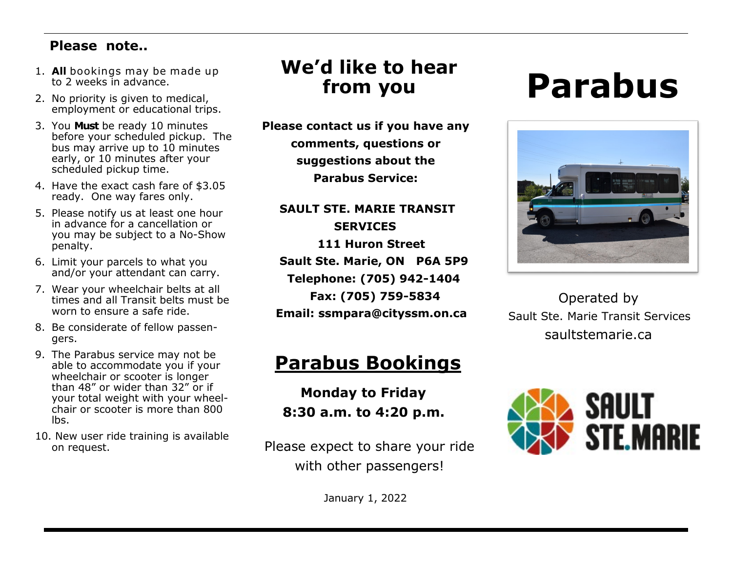#### **Please note..**

- 1. **All** bookings may be made up to 2 weeks in advance.
- 2. No priority is given to medical, employment or educational trips.
- 3. You **Must** be ready 10 minutes before your scheduled pickup. The bus may arrive up to 10 minutes early, or 10 minutes after your scheduled pickup time.
- 4. Have the exact cash fare of \$3.05 ready. One way fares only.
- 5. Please notify us at least one hour in advance for a cancellation or you may be subject to a No-Show penalty.
- 6. Limit your parcels to what you and/or your attendant can carry.
- 7. Wear your wheelchair belts at all times and all Transit belts must be worn to ensure a safe ride.
- 8. Be considerate of fellow passengers.
- 9. The Parabus service may not be able to accommodate you if your wheelchair or scooter is longer than 48" or wider than 32" or if your total weight with your wheelchair or scooter is more than 800 lbs.
- 10. New user ride training is available on request.

## **We'd like to hear from you**

**Please contact us if you have any comments, questions or suggestions about the Parabus Service:**

**SAULT STE. MARIE TRANSIT SERVICES 111 Huron Street Sault Ste. Marie, ON P6A 5P9 Telephone: (705) 942-1404 Fax: (705) 759-5834 Email: ssmpara@cityssm.on.ca**

## **Parabus Bookings**

 **Monday to Friday 8:30 a.m. to 4:20 p.m.**

Please expect to share your ride with other passengers!

January 1, 2022

# **Parabus**



 Operated by Sault Ste. Marie Transit Services saultstemarie.ca